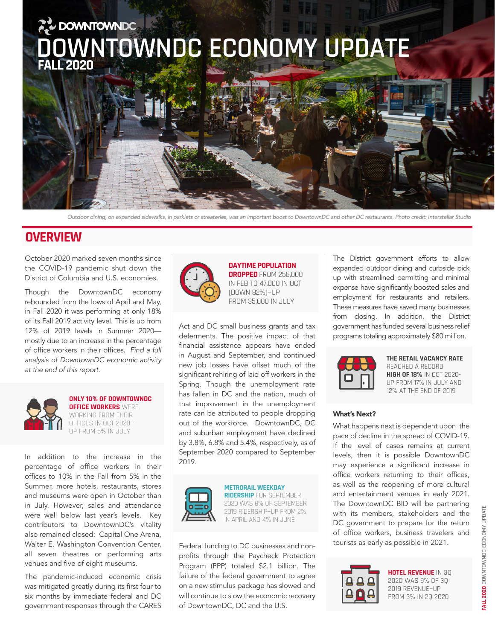

*Outdoor dining, on expanded sidewalks, in parklets or streateries, was an important boost to DowntownDC and other DC restaurants. Photo credit: Interstellar Studio*

## **OVERVIEW**

October 2020 marked seven months since the COVID-19 pandemic shut down the District of Columbia and U.S. economies.

Though the DowntownDC economy rebounded from the lows of April and May, in Fall 2020 it was performing at only 18% of its Fall 2019 activity level. This is up from 12% of 2019 levels in Summer 2020 mostly due to an increase in the percentage of office workers in their offices. *Find a full analysis of DowntownDC economic activity at the end of this report.*



**ONLY 10% OF DOWNTOWNDC OFFICE WORKERS** WERE WORKING FROM THEIR OFFICES IN OCT 2020— UP FROM 5% IN JULY

In addition to the increase in the percentage of office workers in their offices to 10% in the Fall from 5% in the Summer, more hotels, restaurants, stores and museums were open in October than in July. However, sales and attendance were well below last year's levels. Key contributors to DowntownDC's vitality also remained closed: Capital One Arena, Walter E. Washington Convention Center, all seven theatres or performing arts venues and five of eight museums.

The pandemic-induced economic crisis was mitigated greatly during its first four to six months by immediate federal and DC government responses through the CARES



**DAYTIME POPULATION DROPPED** FROM 256,000 IN FEB TO 47,000 IN OCT (DOWN 82%)—UP FROM 35,000 IN JULY

Act and DC small business grants and tax deferments. The positive impact of that financial assistance appears have ended in August and September, and continued new job losses have offset much of the significant rehiring of laid off workers in the Spring. Though the unemployment rate has fallen in DC and the nation, much of that improvement in the unemployment rate can be attributed to people dropping out of the workforce. DowntownDC, DC and suburban employment have declined by 3.8%, 6.8% and 5.4%, respectively, as of September 2020 compared to September 2019.



**METRORAIL WEEKDAY RIDERSHIP** FOR SEPTEMBER 2020 WAS 8% OF SEPTEMBER 2019 RIDERSHIP—UP FROM 2% IN APRIL AND 4% IN JUNE

Federal funding to DC businesses and nonprofits through the Paycheck Protection Program (PPP) totaled \$2.1 billion. The failure of the federal government to agree on a new stimulus package has slowed and will continue to slow the economic recovery of DowntownDC, DC and the U.S.

The District government efforts to allow expanded outdoor dining and curbside pick up with streamlined permitting and minimal expense have significantly boosted sales and employment for restaurants and retailers. These measures have saved many businesses from closing. In addition, the District government has funded several business relief programs totaling approximately \$80 million.



#### **THE RETAIL VACANCY RATE**

REACHED A RECORD **HIGH OF 18%** IN OCT 2020- UP FROM 17% IN JULY AND 12% AT THE END OF 2019

#### What's Next?

What happens next is dependent upon the pace of decline in the spread of COVID-19. If the level of cases remains at current levels, then it is possible DowntownDC may experience a significant increase in office workers returning to their offices, as well as the reopening of more cultural and entertainment venues in early 2021. The DowntownDC BID will be partnering with its members, stakeholders and the DC government to prepare for the return of office workers, business travelers and tourists as early as possible in 2021.



**HOTEL REVENUE** IN 3Q 202O WAS 9% OF 3Q 2019 REVENUE—UP FROM 3% IN 2Q 2020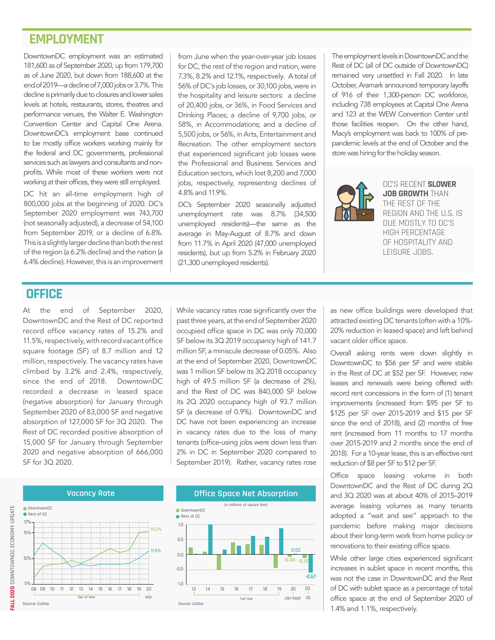## **EMPLOYMENT**

DowntownDC employment was an estimated 181,600 as of September 2020, up from 179,700 as of June 2020, but down from 188,600 at the end of 2019—a decline of 7,000 jobs or 3.7%. This decline is primarily due to closures and lower sales levels at hotels, restaurants, stores, theatres and performance venues, the Walter E. Washington Convention Center and Capital One Arena. DowntownDC's employment base continued to be mostly office workers working mainly for the federal and DC governments, professional services such as lawyers and consultants and nonprofits. While most of these workers were not working at their offices, they were still employed.

DC hit an all-time employment high of 800,000 jobs at the beginning of 2020. DC's September 2020 employment was 743,700 (not seasonally adjusted), a decrease of 54,100 from September 2019, or a decline of 6.8%. This is a slightly larger decline than both the rest of the region (a 6.2% decline) and the nation (a 6.4% decline). However, this is an improvement

from June when the year-over-year job losses for DC, the rest of the region and nation, were 7.3%, 8.2% and 12.1%, respectively. A total of 56% of DC's job losses, or 30,100 jobs, were in the hospitality and leisure sectors: a decline of 20,400 jobs, or 36%, in Food Services and Drinking Places; a decline of 9,700 jobs, or 58%, in Accommodations; and a decline of 5,500 jobs, or 56%, in Arts, Entertainment and Recreation. The other employment sectors that experienced significant job losses were the Professional and Business Services and Education sectors, which lost 8,200 and 7,000 jobs, respectively, representing declines of 4.8% and 11.9%.

DC's September 2020 seasonally adjusted unemployment rate was 8.7% (34,500 unemployed residents)—the same as the average in May-August of 8.7% and down from 11.7% in April 2020 (47,000 unemployed residents), but up from 5.2% in February 2020 (21,300 unemployed residents).

The employment levels in DowntownDC and the Rest of DC (all of DC outside of DowntownDC) remained very unsettled in Fall 2020. In late October, Aramark announced temporary layoffs of 916 of their 1,300-person DC workforce, including 738 employees at Capital One Arena and 123 at the WEW Convention Center until those facilities reopen. On the other hand, Macy's employment was back to 100% of prepandemic levels at the end of October and the store was hiring for the holiday season.



DC'S RECENT **SLOWER JOB GROWTH** THAN THE REST OF THE REGION AND THE U.S. IS DUE MOSTLY TO DC'S HIGH PERCENTAGE OF HOSPITALITY AND LEISURE JOBS.

#### **OFFICE**

At the end of September 2020, DowntownDC and the Rest of DC reported record office vacancy rates of 15.2% and 11.5%, respectively, with record vacant office square footage (SF) of 8.7 million and 12 million, respectively. The vacancy rates have climbed by 3.2% and 2.4%, respectively, since the end of 2018. DowntownDC recorded a decrease in leased space (negative absorption) for January through 8 September 2020 of 83,000 SF and negative 6 absorption of 127,000 SF for 3Q 2020. The 4 Rest of DC recorded positive absorption of 2 15,000 SF for January through September 2020 and negative absorption of 666,000 SF for 3Q 2020. decide the contract of the contract of the contract of the contract of the contract of the contract of the contract of the contract of the contract of the contract of the contract of the contract of the contract of the con eqative absorption) for January throud

While vacancy rates rose significantly over the past three years, at the end of September 2020 occupied office space in DC was only 70,000 SF below its 3Q 2019 occupancy high of 141.7 million SF, a miniscule decrease of 0.05%. Also at the end of September 2020, DowntownDC was 1 million SF below its 3Q 2018 occupancy high of 49.5 million SF (a decrease of 2%), and the Rest of DC was 840,000 SF below its 2Q 2020 occupancy high of 93.7 million SF (a decrease of 0.9%). DowntownDC and DC have not been experiencing an increase in vacancy rates due to the loss of many tenants (office-using jobs were down less than 2% in DC in September 2020 compared to September 2019). Rather, vacancy rates rose

> 20 Jan-Sept

**-0.08 -0.13 0.02**

20

3Q

-0.67



as new office buildings were developed that attracted existing DC tenants (often with a 10%- 20% reduction in leased space) and left behind vacant older office space.

Overall asking rents were down slightly in DowntownDC to \$56 per SF and were stable in the Rest of DC at \$52 per SF. However, new leases and renewals were being offered with record rent concessions in the form of (1) tenant improvements (increased from \$95 per SF to \$125 per SF over 2015-2019 and \$15 per SF since the end of 2018), and (2) months of free rent (increased from 11 months to 17 months over 2015-2019 and 2 months since the end of 2018). For a 10-year lease, this is an effective rent reduction of \$8 per SF to \$12 per SF.

Office space leasing volume in both DowntownDC and the Rest of DC during 2Q and 3Q 2020 was at about 40% of 2015–2019 average leasing volumes as many tenants adopted a "wait and see" approach to the pandemic before making major decisions about their long-term work from home policy or renovations to their existing office space.

While other large cities experienced significant increases in sublet space in recent months, this was not the case in DowntownDC and the Rest of DC with sublet space as a percentage of total office space at the end of September 2020 of 1.4% and 1.1%, respectively.

Source: CoStar

5%

10%

15% 17%

O DowntownDC Rest of DC

#### **Vacancy Rate**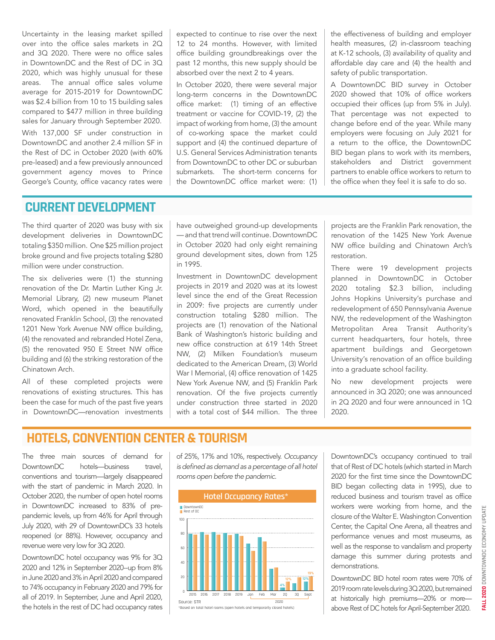Uncertainty in the leasing market spilled over into the office sales markets in 2Q and 3Q 2020. There were no office sales in DowntownDC and the Rest of DC in 3Q 2020, which was highly unusual for these areas. The annual office sales volume average for 2015-2019 for DowntownDC was \$2.4 billion from 10 to 15 building sales compared to \$477 million in three building sales for January through September 2020.

With 137,000 SF under construction in DowntownDC and another 2.4 million SF in the Rest of DC in October 2020 (with 60% pre-leased) and a few previously announced government agency moves to Prince George's County, office vacancy rates were

expected to continue to rise over the next 12 to 24 months. However, with limited office building groundbreakings over the past 12 months, this new supply should be absorbed over the next 2 to 4 years.

In October 2020, there were several major long-term concerns in the DowntownDC office market: (1) timing of an effective treatment or vaccine for COVID-19, (2) the impact of working from home, (3) the amount of co-working space the market could support and (4) the continued departure of U.S. General Services Administration tenants from DowntownDC to other DC or suburban submarkets. The short-term concerns for the DowntownDC office market were: (1) the effectiveness of building and employer health measures, (2) in-classroom teaching at K-12 schools, (3) availability of quality and affordable day care and (4) the health and safety of public transportation.

A DowntownDC BID survey in October 2020 showed that 10% of office workers occupied their offices (up from 5% in July). That percentage was not expected to change before end of the year. While many employers were focusing on July 2021 for a return to the office, the DowntownDC BID began plans to work with its members, stakeholders and District government partners to enable office workers to return to the office when they feel it is safe to do so.

#### **CURRENT DEVELOPMENT**

The third quarter of 2020 was busy with six development deliveries in DowntownDC totaling \$350 million. One \$25 million project broke ground and five projects totaling \$280 million were under construction.

The six deliveries were (1) the stunning renovation of the Dr. Martin Luther King Jr. Memorial Library, (2) new museum Planet Word, which opened in the beautifully renovated Franklin School, (3) the renovated 1201 New York Avenue NW office building, (4) the renovated and rebranded Hotel Zena, (5) the renovated 950 E Street NW office building and (6) the striking restoration of the Chinatown Arch.

All of these completed projects were renovations of existing structures. This has been the case for much of the past five years in DowntownDC—renovation investments have outweighed ground-up developments — and that trend will continue. DowntownDC in October 2020 had only eight remaining ground development sites, down from 125 in 1995.

Investment in DowntownDC development projects in 2019 and 2020 was at its lowest level since the end of the Great Recession in 2009: five projects are currently under construction totaling \$280 million. The projects are (1) renovation of the National Bank of Washington's historic building and new office construction at 619 14th Street NW, (2) Milken Foundation's museum dedicated to the American Dream, (3) World War I Memorial, (4) office renovation of 1425 New York Avenue NW, and (5) Franklin Park renovation. Of the five projects currently under construction three started in 2020 with a total cost of \$44 million. The three

projects are the Franklin Park renovation, the renovation of the 1425 New York Avenue NW office building and Chinatown Arch's restoration.

There were 19 development projects planned in DowntownDC in October 2020 totaling \$2.3 billion, including Johns Hopkins University's purchase and redevelopment of 650 Pennsylvania Avenue NW, the redevelopment of the Washington Metropolitan Area Transit Authority's current headquarters, four hotels, three apartment buildings and Georgetown University's renovation of an office building into a graduate school facility.

No new development projects were announced in 3Q 2020; one was announced in 2Q 2020 and four were announced in 1Q 2020.

# **HOTELS, CONVENTION CENTER & TOURISM**

The three main sources of demand for DowntownDC hotels—business travel, conventions and tourism—largely disappeared with the start of pandemic in March 2020. In October 2020, the number of open hotel rooms in DowntownDC increased to 83% of prepandemic levels, up from 46% for April through July 2020, with 29 of DowntownDC's 33 hotels reopened (or 88%). However, occupancy and revenue were very low for 3Q 2020.

DowntownDC hotel occupancy was 9% for 3Q 2020 and 12% in September 2020--up from 8% in June 2020 and 3% in April 2020 and compared to 74% occupancy in February 2020 and 79% for all of 2019. In September, June and April 2020, the hotels in the rest of DC had occupancy rates

of 25%, 17% and 10%, respectively. *Occupancy*  is defined as demand as a percentage of all hotel *rooms open before the pandemic.*



\*Based on total hotel rooms (open hotels and temporarily closed hotels)

DowntownDC's occupancy continued to trail that of Rest of DC hotels (which started in March 2020 for the first time since the DowntownDC BID began collecting data in 1995), due to reduced business and tourism travel as office workers were working from home, and the closure of the Walter E. Washington Convention Center, the Capital One Arena, all theatres and performance venues and most museums, as well as the response to vandalism and property damage this summer during protests and demonstrations.

DowntownDC BID hotel room rates were 70% of 2019 room rate levels during 3Q 2020, but remained at historically high premiums—20% or more above Rest of DC hotels for April-September 2020.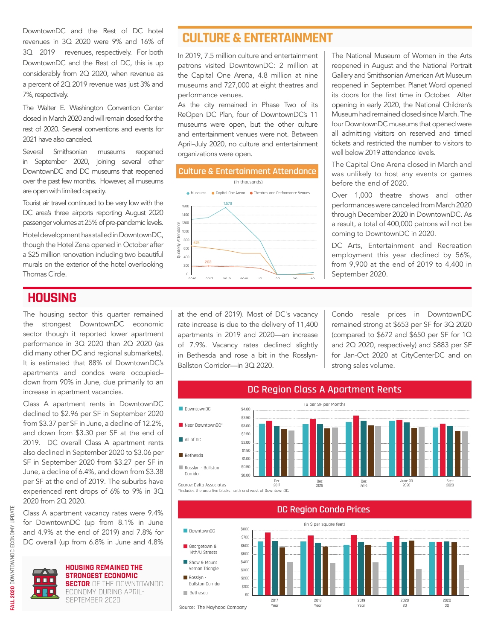DowntownDC and the Rest of DC hotel revenues in 3Q 2020 were 9% and 16% of 3Q 2019 revenues, respectively. For both DowntownDC and the Rest of DC, this is up considerably from 2Q 2020, when revenue as a percent of 2Q 2019 revenue was just 3% and 7%, respectively.

The Walter E. Washington Convention Center closed in March 2020 and will remain closed for the rest of 2020. Several conventions and events for 2021 have also canceled.

Several Smithsonian museums reopened in September 2020, joining several other DowntownDC and DC museums that reopened over the past few months. However, all museums are open with limited capacity.

Tourist air travel continued to be very low with the DC area's three airports reporting August 2020 passenger volumes at 25% of pre-pandemic levels.

Hotel development has stalled in DowntownDC, though the Hotel Zena opened in October after a \$25 million renovation including two beautiful murals on the exterior of the hotel overlooking Thomas Circle. <sup>0</sup>

# **HOUSING**

The housing sector this quarter remained the strongest DowntownDC economic sector though it reported lower apartment performance in 3Q 2020 than 2Q 2020 (as did many other DC and regional submarkets). It is estimated that 88% of DowntownDC's apartments and condos were occupied– down from 90% in June, due primarily to an increase in apartment vacancies.

Class A apartment rents in DowntownDC declined to \$2.96 per SF in September 2020 from \$3.37 per SF in June, a decline of 12.2%, and down from \$3.30 per SF at the end of 2019. DC overall Class A apartment rents also declined in September 2020 to \$3.06 per SF in September 2020 from \$3.27 per SF in June, a decline of 6.4%, and down from \$3.38 per SF at the end of 2019. The suburbs have experienced rent drops of 6% to 9% in 3Q 2020 from 2Q 2020.

Class A apartment vacancy rates were 9.4% for DowntownDC (up from 8.1% in June and 4.9% at the end of 2019) and 7.8% for DC overall (up from 6.8% in June and 4.8%



**HOUSING REMAINED THE STRONGEST ECONOMIC**  88 A G **SECTOR** OF THE DOWNTOWNDC ECONOMY DURING APRIL-

SEPTEMBER 2020

# **CULTURE & ENTERTAINMENT**

In 2019, 7.5 million culture and entertainment patrons visited DowntownDC: 2 million at the Capital One Arena, 4.8 million at nine museums and 727,000 at eight theatres and performance venues.

As the city remained in Phase Two of its ReOpen DC Plan, four of DowntownDC's 11 museums were open, but the other culture and entertainment venues were not. Between April–July 2020, no culture and entertainment organizations were open.



The National Museum of Women in the Arts reopened in August and the National Portrait Gallery and Smithsonian American Art Museum reopened in September. Planet Word opened its doors for the first time in October. After opening in early 2020, the National Children's Museum had remained closed since March. The four DowntownDC museums that opened were all admitting visitors on reserved and timed tickets and restricted the number to visitors to well below 2019 attendance levels.

The Capital One Arena closed in March and was unlikely to host any events or games before the end of 2020.

Over 1,000 theatre shows and other performances were canceled from March 2020 through December 2020 in DowntownDC. As a result, a total of 400,000 patrons will not be coming to DowntownDC in 2020.

DC Arts, Entertainment and Recreation employment this year declined by 56%, from 9,900 at the end of 2019 to 4,400 in September 2020.

at the end of 2019). Most of DC's vacancy rate increase is due to the delivery of 11,400 apartments in 2019 and 2020—an increase of 7.9%. Vacancy rates declined slightly in Bethesda and rose a bit in the Rosslyn-Ballston Corridor—in 3Q 2020.

Condo resale prices in DowntownDC remained strong at \$653 per SF for 3Q 2020 (compared to \$672 and \$650 per SF for 1Q and 2Q 2020, respectively) and \$883 per SF for Jan-Oct 2020 at CityCenterDC and on strong sales volume.



Includes the area five blocks north and west of DowntownDC.